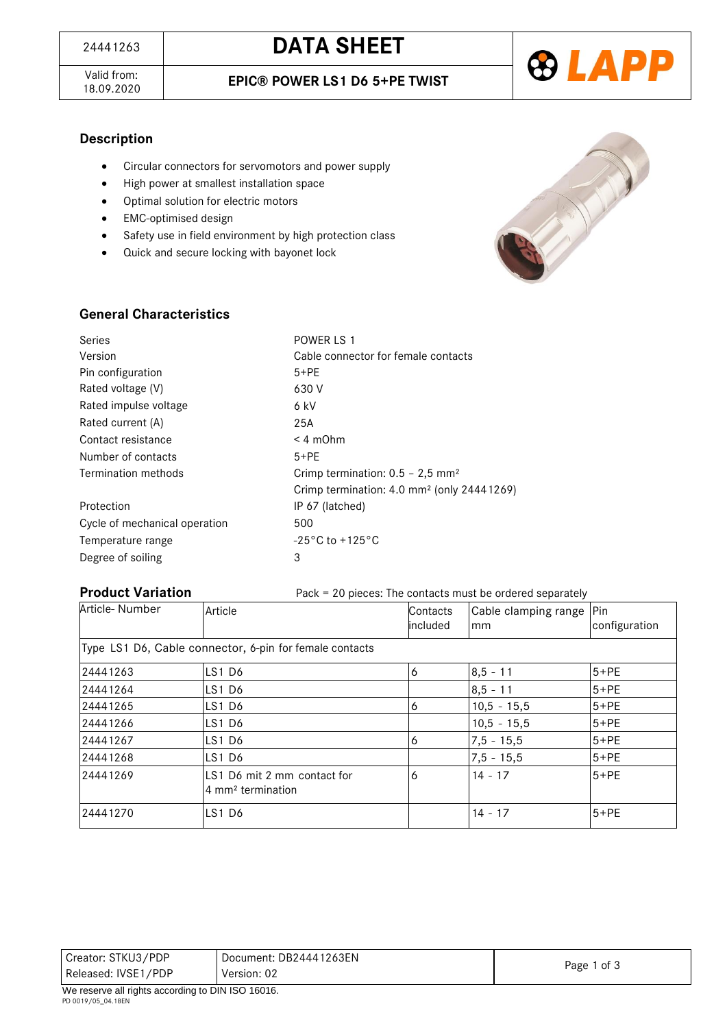Valid from:<br>18.09.2020





### **Description**

- Circular connectors for servomotors and power supply
- High power at smallest installation space
- Optimal solution for electric motors
- EMC-optimised design
- **•** Safety use in field environment by high protection class
- Quick and secure locking with bayonet lock



### **General Characteristics**

| Series                        | POWER LS 1                                             |
|-------------------------------|--------------------------------------------------------|
| Version                       | Cable connector for female contacts                    |
| Pin configuration             | $5+PE$                                                 |
| Rated voltage (V)             | 630 V                                                  |
| Rated impulse voltage         | 6 kV                                                   |
| Rated current (A)             | 25A                                                    |
| Contact resistance            | $< 4$ m $Ohm$                                          |
| Number of contacts            | $5+PE$                                                 |
| Termination methods           | Crimp termination: $0.5 - 2.5$ mm <sup>2</sup>         |
|                               | Crimp termination: 4.0 mm <sup>2</sup> (only 24441269) |
| Protection                    | IP 67 (latched)                                        |
| Cycle of mechanical operation | 500                                                    |
| Temperature range             | $-25\degree$ C to $+125\degree$ C                      |
| Degree of soiling             | 3                                                      |

#### **Product Variation** Pack = 20 pieces: The contacts must be ordered separately

| T TUUUUL VAHALIUH | $\frac{1}{1}$ ack $\frac{1}{2}$ $\frac{1}{2}$ bicces. The contacts must be ordered separately |                      |                                  |               |
|-------------------|-----------------------------------------------------------------------------------------------|----------------------|----------------------------------|---------------|
| Article- Number   | Article                                                                                       | Contacts<br>included | Cable clamping range   Pin<br>mm | configuration |
|                   | Type LS1 D6, Cable connector, 6-pin for female contacts                                       |                      |                                  |               |
| 24441263          | LS1D6                                                                                         | 6                    | $8,5 - 11$                       | $5+PE$        |
| 24441264          | LS1D6                                                                                         |                      | $8,5 - 11$                       | $5+PE$        |
| 24441265          | LS1 D6                                                                                        | 6                    | $10,5 - 15,5$                    | $5+PE$        |
| 24441266          | LS1D6                                                                                         |                      | $10,5 - 15,5$                    | $5+PE$        |
| 24441267          | LS1D6                                                                                         | 6                    | $7,5 - 15,5$                     | $5+PE$        |
| 24441268          | LS1 D6                                                                                        |                      | $7,5 - 15,5$                     | $5+PE$        |
| 24441269          | LS1 D6 mit 2 mm contact for<br>4 mm <sup>2</sup> termination                                  | 6                    | $14 - 17$                        | $5+PE$        |
| 24441270          | <b>LS1 D6</b>                                                                                 |                      | $14 - 17$                        | $5+PE$        |

| Creator: STKU3/PDP  | Document: DB24441263EN • |             |
|---------------------|--------------------------|-------------|
| Released: IVSE1/PDP | Version: 02              | Page 1 of 3 |
| $\cdots$<br>.       | $-11112221222$           |             |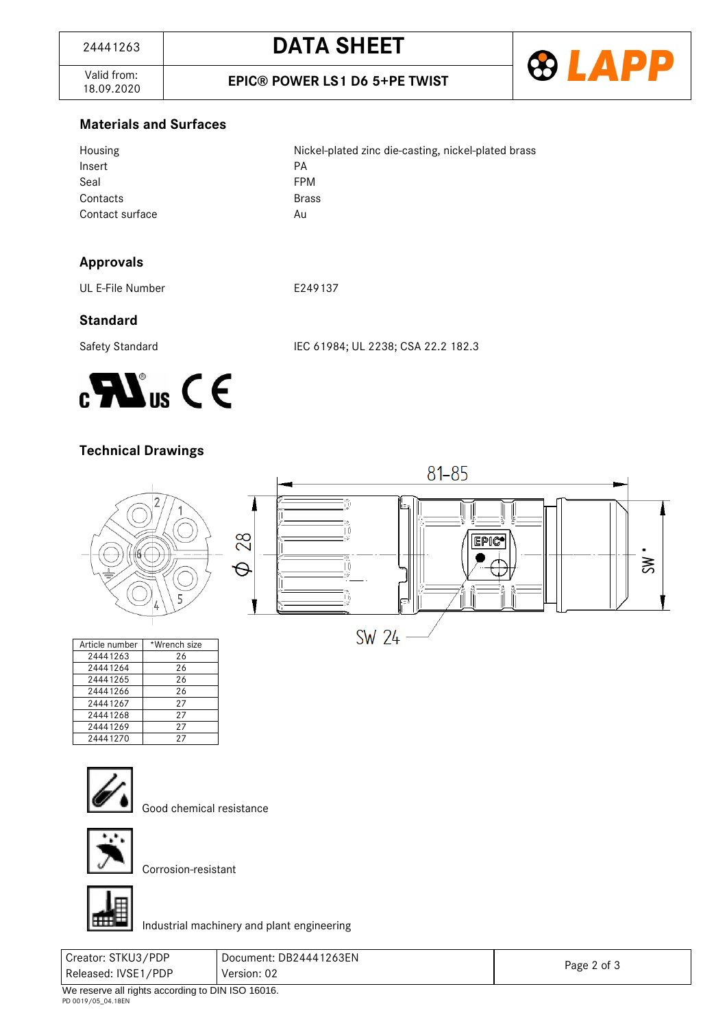

Valid from:<br>18.09.2020

#### **Materials and Surfaces**

| Housing         | Nickel-plated zinc die-casting, nickel-plated brass |
|-----------------|-----------------------------------------------------|
| Insert          | PА                                                  |
| Seal            | <b>FPM</b>                                          |
| Contacts        | <b>Brass</b>                                        |
| Contact surface | Au                                                  |

# **Approvals**

UL E-File Number **E249137** 

# **Standard**

Safety Standard IEC 61984; UL 2238; CSA 22.2 182.3



# **Technical Drawings**



| Article number | *Wrench size |
|----------------|--------------|
| 24441263       | 26           |
| 24441264       | 26           |
| 24441265       | 26           |
| 24441266       | 26           |
| 24441267       | 27           |
| 24441268       | 27           |
| 24441269       | 27           |
| 24441270       | 27           |



Good chemical resistance



Corrosion-resistant



Industrial machinery and plant engineering

| Creator: STKU3/PDP  | Document: DB24441263EN |             |
|---------------------|------------------------|-------------|
| Released: IVSE1/PDP | Version: 02            | Page 2 of 3 |